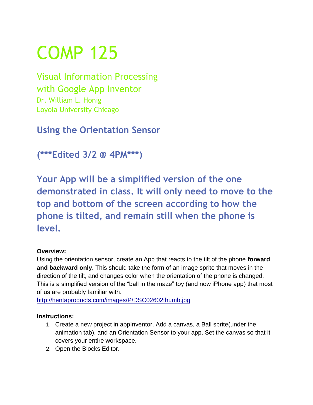# COMP 125

Visual Information Processing with Google App Inventor Dr. William L. Honig Loyola University Chicago

**Using the Orientation Sensor**

**(\*\*\*Edited 3/2 @ 4PM\*\*\*)**

**Your App will be a simplified version of the one demonstrated in class. It will only need to move to the top and bottom of the screen according to how the phone is tilted, and remain still when the phone is level.**

## **Overview:**

Using the orientation sensor, create an App that reacts to the tilt of the phone **forward and backward only**. This should take the form of an image sprite that moves in the direction of the tilt, and changes color when the orientation of the phone is changed. This is a simplified version of the "ball in the maze" toy (and now iPhone app) that most of us are probably familiar with.

[http://hentaproducts.com/images/P/DSC02602thumb.jpg](http://www.google.com/url?q=http%3A%2F%2Fhentaproducts.com%2Fimages%2FP%2FDSC02602thumb.jpg&sa=D&sntz=1&usg=AFQjCNGQX_u2WINtrjxWcAoqB4pF6Jznaw)

## **Instructions:**

- 1. Create a new project in appInventor. Add a canvas, a Ball sprite(under the animation tab), and an Orientation Sensor to your app. Set the canvas so that it covers your entire workspace.
- 2. Open the Blocks Editor.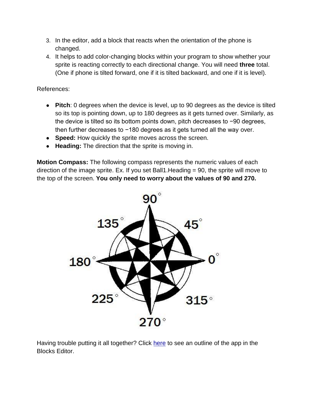- 3. In the editor, add a block that reacts when the orientation of the phone is changed.
- 4. It helps to add color-changing blocks within your program to show whether your sprite is reacting correctly to each directional change. You will need **three** total. (One if phone is tilted forward, one if it is tilted backward, and one if it is level).

References:

- **Pitch**: 0 degrees when the device is level, up to 90 degrees as the device is tilted so its top is pointing down, up to 180 degrees as it gets turned over. Similarly, as the device is tilted so its bottom points down, pitch decreases to −90 degrees, then further decreases to −180 degrees as it gets turned all the way over.
- **Speed:** How quickly the sprite moves across the screen.
- **Heading:** The direction that the sprite is moving in.

**Motion Compass:** The following compass represents the numeric values of each direction of the image sprite. Ex. If you set Ball1.Heading = 90, the sprite will move to the top of the screen. **You only need to worry about the values of 90 and 270.**



Having trouble putting it all together? Click [here](https://docs.google.com/leaf?id=0B1zIy5m1z5nVOTRhMWVlN2UtMmMzOS00OWQwLWE3MTAtYjk0ZGI0YzZmMGQ4&hl=en) to see an outline of the app in the Blocks Editor.